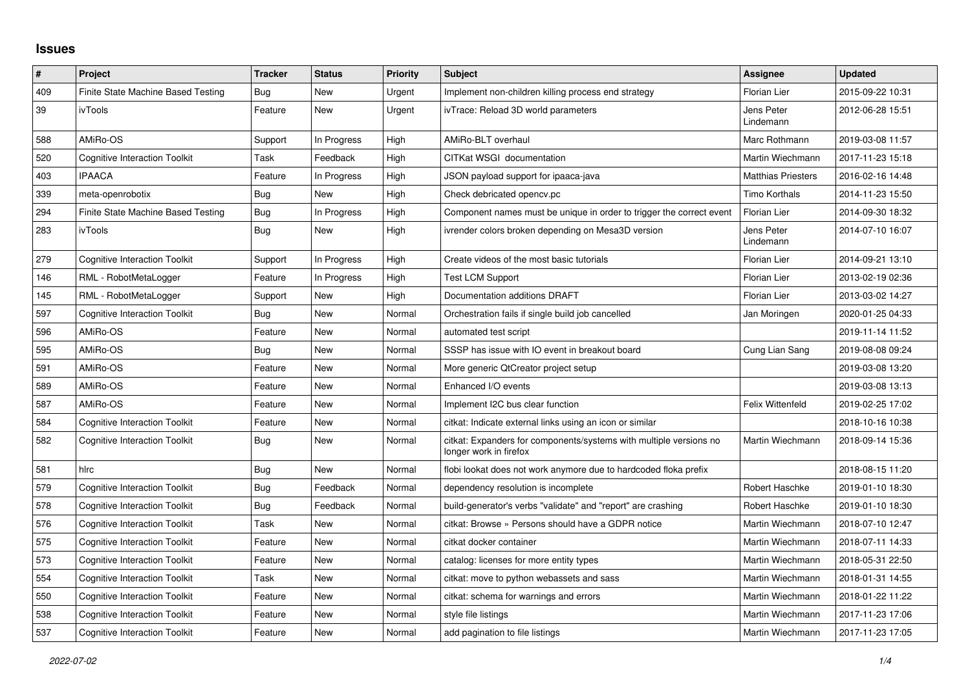## **Issues**

| #   | Project                              | <b>Tracker</b> | <b>Status</b> | <b>Priority</b> | <b>Subject</b>                                                                               | Assignee                  | <b>Updated</b>   |
|-----|--------------------------------------|----------------|---------------|-----------------|----------------------------------------------------------------------------------------------|---------------------------|------------------|
| 409 | Finite State Machine Based Testing   | Bug            | New           | Urgent          | Implement non-children killing process end strategy                                          | Florian Lier              | 2015-09-22 10:31 |
| 39  | ivTools                              | Feature        | <b>New</b>    | Urgent          | ivTrace: Reload 3D world parameters                                                          | Jens Peter<br>Lindemann   | 2012-06-28 15:51 |
| 588 | AMiRo-OS                             | Support        | In Progress   | High            | AMiRo-BLT overhaul                                                                           | Marc Rothmann             | 2019-03-08 11:57 |
| 520 | <b>Cognitive Interaction Toolkit</b> | Task           | Feedback      | High            | CITKat WSGI documentation                                                                    | Martin Wiechmann          | 2017-11-23 15:18 |
| 403 | <b>IPAACA</b>                        | Feature        | In Progress   | High            | JSON payload support for ipaaca-java                                                         | <b>Matthias Priesters</b> | 2016-02-16 14:48 |
| 339 | meta-openrobotix                     | Bug            | New           | High            | Check debricated opency.pc                                                                   | <b>Timo Korthals</b>      | 2014-11-23 15:50 |
| 294 | Finite State Machine Based Testing   | Bug            | In Progress   | High            | Component names must be unique in order to trigger the correct event                         | <b>Florian Lier</b>       | 2014-09-30 18:32 |
| 283 | ivTools                              | Bug            | New           | High            | ivrender colors broken depending on Mesa3D version                                           | Jens Peter<br>Lindemann   | 2014-07-10 16:07 |
| 279 | <b>Cognitive Interaction Toolkit</b> | Support        | In Progress   | High            | Create videos of the most basic tutorials                                                    | Florian Lier              | 2014-09-21 13:10 |
| 146 | RML - RobotMetaLogger                | Feature        | In Progress   | High            | <b>Test LCM Support</b>                                                                      | Florian Lier              | 2013-02-19 02:36 |
| 145 | RML - RobotMetaLogger                | Support        | New           | High            | Documentation additions DRAFT                                                                | Florian Lier              | 2013-03-02 14:27 |
| 597 | <b>Cognitive Interaction Toolkit</b> | Bug            | New           | Normal          | Orchestration fails if single build job cancelled                                            | Jan Moringen              | 2020-01-25 04:33 |
| 596 | AMiRo-OS                             | Feature        | New           | Normal          | automated test script                                                                        |                           | 2019-11-14 11:52 |
| 595 | AMiRo-OS                             | Bug            | New           | Normal          | SSSP has issue with IO event in breakout board                                               | Cung Lian Sang            | 2019-08-08 09:24 |
| 591 | AMiRo-OS                             | Feature        | New           | Normal          | More generic QtCreator project setup                                                         |                           | 2019-03-08 13:20 |
| 589 | AMiRo-OS                             | Feature        | New           | Normal          | Enhanced I/O events                                                                          |                           | 2019-03-08 13:13 |
| 587 | AMiRo-OS                             | Feature        | New           | Normal          | Implement I2C bus clear function                                                             | Felix Wittenfeld          | 2019-02-25 17:02 |
| 584 | <b>Cognitive Interaction Toolkit</b> | Feature        | New           | Normal          | citkat: Indicate external links using an icon or similar                                     |                           | 2018-10-16 10:38 |
| 582 | <b>Cognitive Interaction Toolkit</b> | Bug            | New           | Normal          | citkat: Expanders for components/systems with multiple versions no<br>longer work in firefox | Martin Wiechmann          | 2018-09-14 15:36 |
| 581 | hlrc                                 | <b>Bug</b>     | New           | Normal          | flobi lookat does not work anymore due to hardcoded floka prefix                             |                           | 2018-08-15 11:20 |
| 579 | <b>Cognitive Interaction Toolkit</b> | Bug            | Feedback      | Normal          | dependency resolution is incomplete                                                          | Robert Haschke            | 2019-01-10 18:30 |
| 578 | <b>Cognitive Interaction Toolkit</b> | <b>Bug</b>     | Feedback      | Normal          | build-generator's verbs "validate" and "report" are crashing                                 | Robert Haschke            | 2019-01-10 18:30 |
| 576 | <b>Cognitive Interaction Toolkit</b> | Task           | <b>New</b>    | Normal          | citkat: Browse » Persons should have a GDPR notice                                           | Martin Wiechmann          | 2018-07-10 12:47 |
| 575 | Cognitive Interaction Toolkit        | Feature        | New           | Normal          | citkat docker container                                                                      | Martin Wiechmann          | 2018-07-11 14:33 |
| 573 | <b>Cognitive Interaction Toolkit</b> | Feature        | New           | Normal          | catalog: licenses for more entity types                                                      | Martin Wiechmann          | 2018-05-31 22:50 |
| 554 | <b>Cognitive Interaction Toolkit</b> | Task           | New           | Normal          | citkat: move to python webassets and sass                                                    | Martin Wiechmann          | 2018-01-31 14:55 |
| 550 | <b>Cognitive Interaction Toolkit</b> | Feature        | <b>New</b>    | Normal          | citkat: schema for warnings and errors                                                       | Martin Wiechmann          | 2018-01-22 11:22 |
| 538 | Cognitive Interaction Toolkit        | Feature        | New           | Normal          | style file listings                                                                          | Martin Wiechmann          | 2017-11-23 17:06 |
| 537 | Cognitive Interaction Toolkit        | Feature        | New           | Normal          | add pagination to file listings                                                              | Martin Wiechmann          | 2017-11-23 17:05 |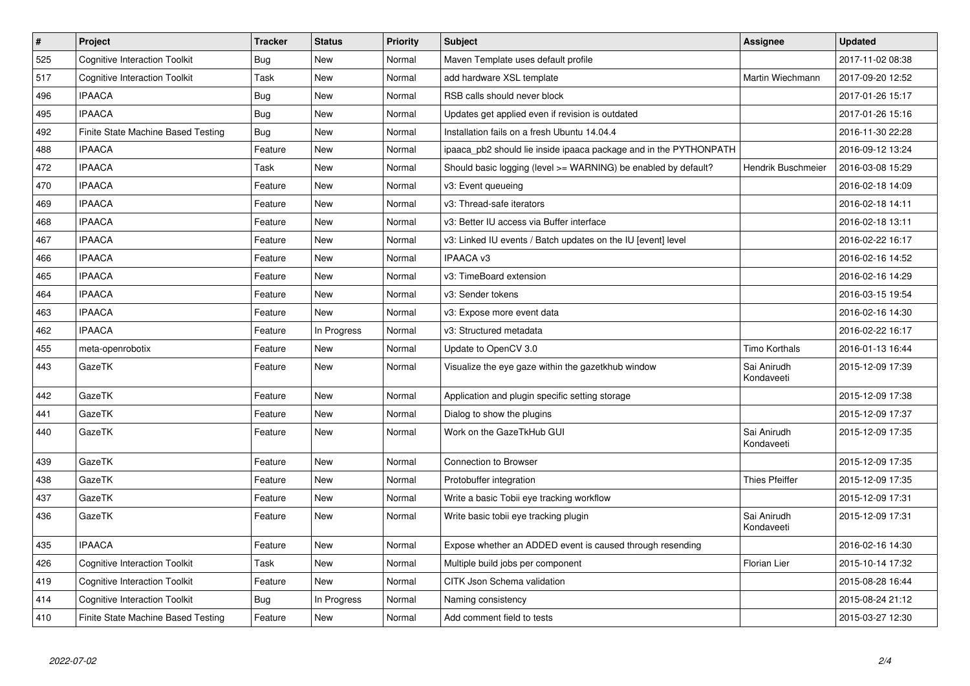| $\vert$ # | Project                              | <b>Tracker</b> | <b>Status</b> | <b>Priority</b> | <b>Subject</b>                                                    | Assignee                  | <b>Updated</b>   |
|-----------|--------------------------------------|----------------|---------------|-----------------|-------------------------------------------------------------------|---------------------------|------------------|
| 525       | <b>Cognitive Interaction Toolkit</b> | Bug            | New           | Normal          | Maven Template uses default profile                               |                           | 2017-11-02 08:38 |
| 517       | <b>Cognitive Interaction Toolkit</b> | Task           | New           | Normal          | add hardware XSL template                                         | Martin Wiechmann          | 2017-09-20 12:52 |
| 496       | <b>IPAACA</b>                        | Bug            | New           | Normal          | RSB calls should never block                                      |                           | 2017-01-26 15:17 |
| 495       | <b>IPAACA</b>                        | Bug            | New           | Normal          | Updates get applied even if revision is outdated                  |                           | 2017-01-26 15:16 |
| 492       | Finite State Machine Based Testing   | Bug            | New           | Normal          | Installation fails on a fresh Ubuntu 14.04.4                      |                           | 2016-11-30 22:28 |
| 488       | <b>IPAACA</b>                        | Feature        | New           | Normal          | ipaaca pb2 should lie inside ipaaca package and in the PYTHONPATH |                           | 2016-09-12 13:24 |
| 472       | <b>IPAACA</b>                        | Task           | <b>New</b>    | Normal          | Should basic logging (level >= WARNING) be enabled by default?    | Hendrik Buschmeier        | 2016-03-08 15:29 |
| 470       | <b>IPAACA</b>                        | Feature        | New           | Normal          | v3: Event queueing                                                |                           | 2016-02-18 14:09 |
| 469       | <b>IPAACA</b>                        | Feature        | <b>New</b>    | Normal          | v3: Thread-safe iterators                                         |                           | 2016-02-18 14:11 |
| 468       | <b>IPAACA</b>                        | Feature        | New           | Normal          | v3: Better IU access via Buffer interface                         |                           | 2016-02-18 13:11 |
| 467       | <b>IPAACA</b>                        | Feature        | New           | Normal          | v3: Linked IU events / Batch updates on the IU [event] level      |                           | 2016-02-22 16:17 |
| 466       | <b>IPAACA</b>                        | Feature        | New           | Normal          | <b>IPAACA v3</b>                                                  |                           | 2016-02-16 14:52 |
| 465       | <b>IPAACA</b>                        | Feature        | New           | Normal          | v3: TimeBoard extension                                           |                           | 2016-02-16 14:29 |
| 464       | <b>IPAACA</b>                        | Feature        | New           | Normal          | v3: Sender tokens                                                 |                           | 2016-03-15 19:54 |
| 463       | <b>IPAACA</b>                        | Feature        | <b>New</b>    | Normal          | v3: Expose more event data                                        |                           | 2016-02-16 14:30 |
| 462       | <b>IPAACA</b>                        | Feature        | In Progress   | Normal          | v3: Structured metadata                                           |                           | 2016-02-22 16:17 |
| 455       | meta-openrobotix                     | Feature        | New           | Normal          | Update to OpenCV 3.0                                              | <b>Timo Korthals</b>      | 2016-01-13 16:44 |
| 443       | GazeTK                               | Feature        | New           | Normal          | Visualize the eye gaze within the gazetkhub window                | Sai Anirudh<br>Kondaveeti | 2015-12-09 17:39 |
| 442       | GazeTK                               | Feature        | New           | Normal          | Application and plugin specific setting storage                   |                           | 2015-12-09 17:38 |
| 441       | GazeTK                               | Feature        | New           | Normal          | Dialog to show the plugins                                        |                           | 2015-12-09 17:37 |
| 440       | GazeTK                               | Feature        | New           | Normal          | Work on the GazeTkHub GUI                                         | Sai Anirudh<br>Kondaveeti | 2015-12-09 17:35 |
| 439       | GazeTK                               | Feature        | New           | Normal          | Connection to Browser                                             |                           | 2015-12-09 17:35 |
| 438       | GazeTK                               | Feature        | New           | Normal          | Protobuffer integration                                           | <b>Thies Pfeiffer</b>     | 2015-12-09 17:35 |
| 437       | GazeTK                               | Feature        | New           | Normal          | Write a basic Tobii eye tracking workflow                         |                           | 2015-12-09 17:31 |
| 436       | GazeTK                               | Feature        | <b>New</b>    | Normal          | Write basic tobii eye tracking plugin                             | Sai Anirudh<br>Kondaveeti | 2015-12-09 17:31 |
| 435       | <b>IPAACA</b>                        | Feature        | New           | Normal          | Expose whether an ADDED event is caused through resending         |                           | 2016-02-16 14:30 |
| 426       | <b>Cognitive Interaction Toolkit</b> | Task           | New           | Normal          | Multiple build jobs per component                                 | Florian Lier              | 2015-10-14 17:32 |
| 419       | <b>Cognitive Interaction Toolkit</b> | Feature        | New           | Normal          | CITK Json Schema validation                                       |                           | 2015-08-28 16:44 |
| 414       | <b>Cognitive Interaction Toolkit</b> | Bug            | In Progress   | Normal          | Naming consistency                                                |                           | 2015-08-24 21:12 |
| 410       | Finite State Machine Based Testing   | Feature        | New           | Normal          | Add comment field to tests                                        |                           | 2015-03-27 12:30 |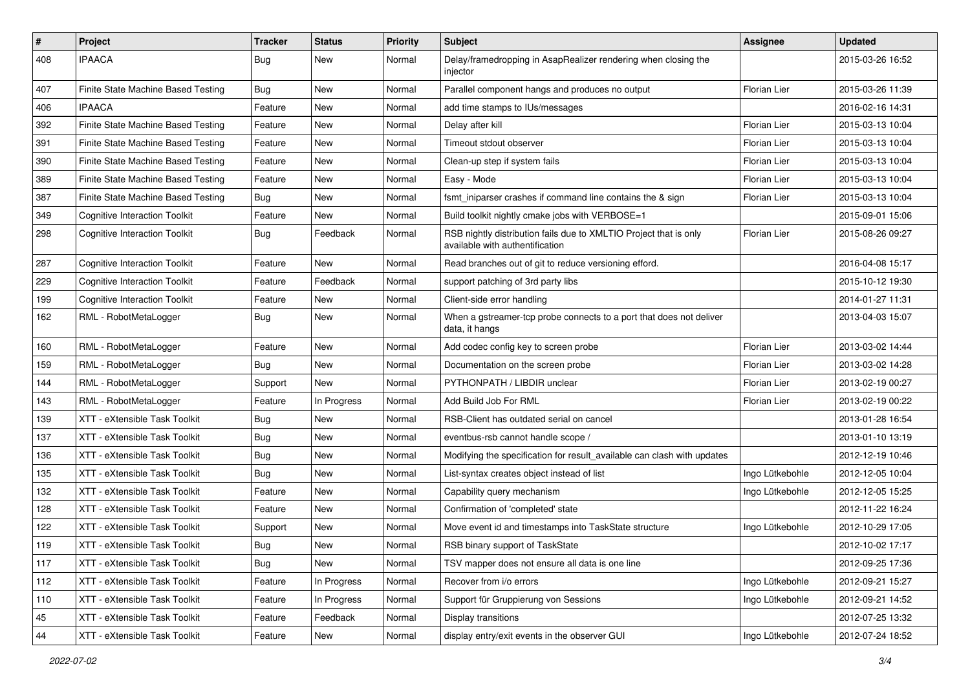| $\#$ | Project                              | <b>Tracker</b> | <b>Status</b> | <b>Priority</b> | Subject                                                                                              | Assignee            | <b>Updated</b>   |
|------|--------------------------------------|----------------|---------------|-----------------|------------------------------------------------------------------------------------------------------|---------------------|------------------|
| 408  | <b>IPAACA</b>                        | <b>Bug</b>     | New           | Normal          | Delay/framedropping in AsapRealizer rendering when closing the<br>injector                           |                     | 2015-03-26 16:52 |
| 407  | Finite State Machine Based Testing   | Bug            | New           | Normal          | Parallel component hangs and produces no output                                                      | Florian Lier        | 2015-03-26 11:39 |
| 406  | <b>IPAACA</b>                        | Feature        | New           | Normal          | add time stamps to IUs/messages                                                                      |                     | 2016-02-16 14:31 |
| 392  | Finite State Machine Based Testing   | Feature        | <b>New</b>    | Normal          | Delay after kill                                                                                     | Florian Lier        | 2015-03-13 10:04 |
| 391  | Finite State Machine Based Testing   | Feature        | New           | Normal          | Timeout stdout observer                                                                              | Florian Lier        | 2015-03-13 10:04 |
| 390  | Finite State Machine Based Testing   | Feature        | New           | Normal          | Clean-up step if system fails                                                                        | Florian Lier        | 2015-03-13 10:04 |
| 389  | Finite State Machine Based Testing   | Feature        | New           | Normal          | Easy - Mode                                                                                          | Florian Lier        | 2015-03-13 10:04 |
| 387  | Finite State Machine Based Testing   | Bug            | New           | Normal          | fsmt_iniparser crashes if command line contains the & sign                                           | <b>Florian Lier</b> | 2015-03-13 10:04 |
| 349  | <b>Cognitive Interaction Toolkit</b> | Feature        | New           | Normal          | Build toolkit nightly cmake jobs with VERBOSE=1                                                      |                     | 2015-09-01 15:06 |
| 298  | <b>Cognitive Interaction Toolkit</b> | Bug            | Feedback      | Normal          | RSB nightly distribution fails due to XMLTIO Project that is only<br>available with authentification | Florian Lier        | 2015-08-26 09:27 |
| 287  | <b>Cognitive Interaction Toolkit</b> | Feature        | New           | Normal          | Read branches out of git to reduce versioning efford.                                                |                     | 2016-04-08 15:17 |
| 229  | <b>Cognitive Interaction Toolkit</b> | Feature        | Feedback      | Normal          | support patching of 3rd party libs                                                                   |                     | 2015-10-12 19:30 |
| 199  | <b>Cognitive Interaction Toolkit</b> | Feature        | <b>New</b>    | Normal          | Client-side error handling                                                                           |                     | 2014-01-27 11:31 |
| 162  | RML - RobotMetaLogger                | Bug            | New           | Normal          | When a gstreamer-tcp probe connects to a port that does not deliver<br>data, it hangs                |                     | 2013-04-03 15:07 |
| 160  | RML - RobotMetaLogger                | Feature        | New           | Normal          | Add codec config key to screen probe                                                                 | Florian Lier        | 2013-03-02 14:44 |
| 159  | RML - RobotMetaLogger                | Bug            | New           | Normal          | Documentation on the screen probe                                                                    | Florian Lier        | 2013-03-02 14:28 |
| 144  | RML - RobotMetaLogger                | Support        | New           | Normal          | PYTHONPATH / LIBDIR unclear                                                                          | Florian Lier        | 2013-02-19 00:27 |
| 143  | RML - RobotMetaLogger                | Feature        | In Progress   | Normal          | Add Build Job For RML                                                                                | Florian Lier        | 2013-02-19 00:22 |
| 139  | XTT - eXtensible Task Toolkit        | Bug            | <b>New</b>    | Normal          | RSB-Client has outdated serial on cancel                                                             |                     | 2013-01-28 16:54 |
| 137  | XTT - eXtensible Task Toolkit        | Bug            | New           | Normal          | eventbus-rsb cannot handle scope /                                                                   |                     | 2013-01-10 13:19 |
| 136  | XTT - eXtensible Task Toolkit        | Bug            | New           | Normal          | Modifying the specification for result available can clash with updates                              |                     | 2012-12-19 10:46 |
| 135  | XTT - eXtensible Task Toolkit        | Bug            | New           | Normal          | List-syntax creates object instead of list                                                           | Ingo Lütkebohle     | 2012-12-05 10:04 |
| 132  | XTT - eXtensible Task Toolkit        | Feature        | <b>New</b>    | Normal          | Capability query mechanism                                                                           | Ingo Lütkebohle     | 2012-12-05 15:25 |
| 128  | XTT - eXtensible Task Toolkit        | Feature        | New           | Normal          | Confirmation of 'completed' state                                                                    |                     | 2012-11-22 16:24 |
| 122  | XTT - eXtensible Task Toolkit        | Support        | New           | Normal          | Move event id and timestamps into TaskState structure                                                | Ingo Lütkebohle     | 2012-10-29 17:05 |
| 119  | XTT - eXtensible Task Toolkit        | Bug            | New           | Normal          | RSB binary support of TaskState                                                                      |                     | 2012-10-02 17:17 |
| 117  | XTT - eXtensible Task Toolkit        | Bug            | New           | Normal          | TSV mapper does not ensure all data is one line                                                      |                     | 2012-09-25 17:36 |
| 112  | XTT - eXtensible Task Toolkit        | Feature        | In Progress   | Normal          | Recover from i/o errors                                                                              | Ingo Lütkebohle     | 2012-09-21 15:27 |
| 110  | XTT - eXtensible Task Toolkit        | Feature        | In Progress   | Normal          | Support für Gruppierung von Sessions                                                                 | Ingo Lütkebohle     | 2012-09-21 14:52 |
| 45   | XTT - eXtensible Task Toolkit        | Feature        | Feedback      | Normal          | Display transitions                                                                                  |                     | 2012-07-25 13:32 |
| 44   | XTT - eXtensible Task Toolkit        | Feature        | New           | Normal          | display entry/exit events in the observer GUI                                                        | Ingo Lütkebohle     | 2012-07-24 18:52 |